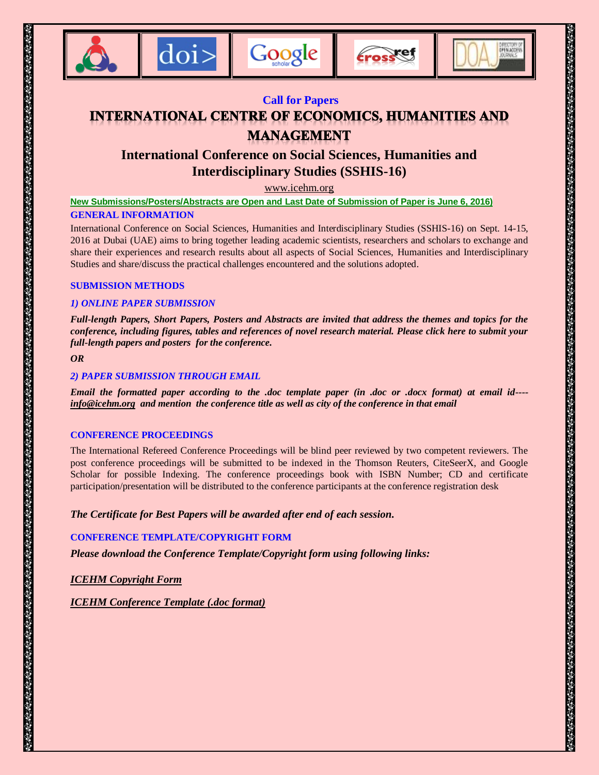



# **Call for Papers INTERNATIONAL CENTRE OF ECONOMICS, HUMANITIES AND MANAGEMENT**

## **International Conference on Social Sciences, Humanities and Interdisciplinary Studies (SSHIS-16)**

www.icehm.org

**New Submissions/Posters/Abstracts are Open and Last Date of Submission of Paper is June 6, 2016) GENERAL INFORMATION**

International Conference on Social Sciences, Humanities and Interdisciplinary Studies (SSHIS-16) on Sept. 14-15, 2016 at Dubai (UAE) aims to bring together leading academic scientists, researchers and scholars to exchange and share their experiences and research results about all aspects of Social Sciences, Humanities and Interdisciplinary Studies and share/discuss the practical challenges encountered and the solutions adopted.

#### **SUBMISSION METHODS**

#### *1) ONLINE PAPER SUBMISSION*

*Full-length Papers, Short Papers, Posters and Abstracts are invited that address the themes and topics for the conference, including figures, tables and references of novel research material. Please click here to submit your full-length papers and posters for the conference.*

#### *OR*

#### *2) PAPER SUBMISSION THROUGH EMAIL*

*Email the formatted paper according to the .doc template paper (in .doc or .docx format) at email id--- info@icehm.org and mention the conference title as well as city of the conference in that email*

#### **CONFERENCE PROCEEDINGS**

The International Refereed Conference Proceedings will be blind peer reviewed by two competent reviewers. The post conference proceedings will be submitted to be indexed in the Thomson Reuters, CiteSeerX, and Google Scholar for possible Indexing. The conference proceedings book with ISBN Number; CD and certificate participation/presentation will be distributed to the conference participants at the conference registration desk

*The Certificate for Best Papers will be awarded after end of each session.*

## **CONFERENCE TEMPLATE/COPYRIGHT FORM**

*Please download the Conference Template/Copyright form using following links:*

*ICEHM Copyright Form*

*ICEHM Conference Template (.doc format)*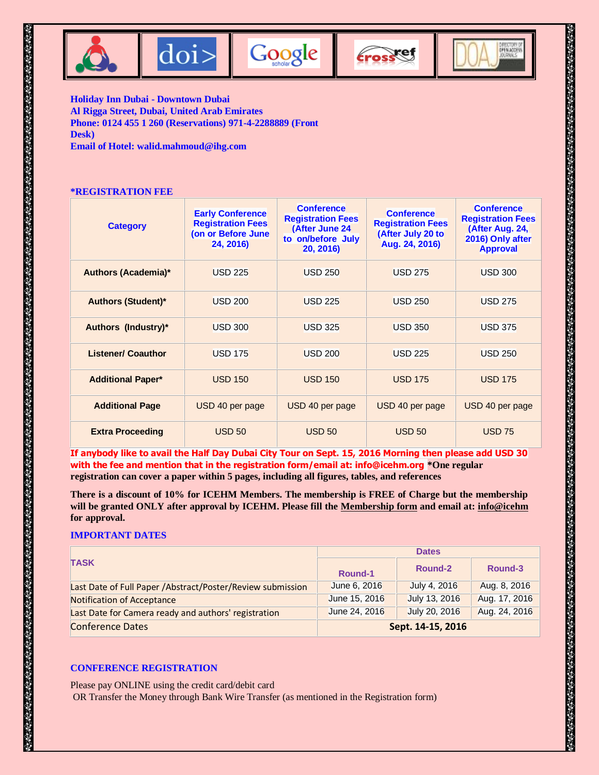







**Holiday Inn Dubai - Downtown Dubai Al Rigga Street, Dubai, United Arab Emirates Phone: 0124 455 1 260 (Reservations) 971-4-2288889 (Front Desk) Email of Hotel: walid.mahmoud@ihg.com**

#### **\*REGISTRATION FEE**

| <b>Category</b>            | <b>Early Conference</b><br><b>Registration Fees</b><br>(on or Before June<br>24, 2016) | <b>Conference</b><br><b>Registration Fees</b><br>(After June 24<br>to on/before July<br>20, 2016) | <b>Conference</b><br><b>Registration Fees</b><br>(After July 20 to<br>Aug. 24, 2016) | <b>Conference</b><br><b>Registration Fees</b><br>(After Aug. 24,<br>2016) Only after<br><b>Approval</b> |
|----------------------------|----------------------------------------------------------------------------------------|---------------------------------------------------------------------------------------------------|--------------------------------------------------------------------------------------|---------------------------------------------------------------------------------------------------------|
| <b>Authors (Academia)*</b> | <b>USD 225</b>                                                                         | <b>USD 250</b>                                                                                    | <b>USD 275</b>                                                                       | <b>USD 300</b>                                                                                          |
| <b>Authors (Student)*</b>  | <b>USD 200</b>                                                                         | <b>USD 225</b>                                                                                    | <b>USD 250</b>                                                                       | <b>USD 275</b>                                                                                          |
| <b>Authors (Industry)*</b> | <b>USD 300</b>                                                                         | <b>USD 325</b>                                                                                    | <b>USD 350</b>                                                                       | <b>USD 375</b>                                                                                          |
| <b>Listener/ Coauthor</b>  | <b>USD 175</b>                                                                         | <b>USD 200</b>                                                                                    | <b>USD 225</b>                                                                       | <b>USD 250</b>                                                                                          |
| <b>Additional Paper*</b>   | <b>USD 150</b>                                                                         | <b>USD 150</b>                                                                                    | <b>USD 175</b>                                                                       | <b>USD 175</b>                                                                                          |
| <b>Additional Page</b>     | USD 40 per page                                                                        | USD 40 per page                                                                                   | USD 40 per page                                                                      | USD 40 per page                                                                                         |
| <b>Extra Proceeding</b>    | <b>USD 50</b>                                                                          | <b>USD 50</b>                                                                                     | <b>USD 50</b>                                                                        | <b>USD 75</b>                                                                                           |

**If anybody like to avail the Half Day Dubai City Tour on Sept. 15, 2016 Morning then please add USD 30 with the fee and mention that in the registration form/email at: info@icehm.org \*One regular registration can cover a paper within 5 pages, including all figures, tables, and references**

**There is a discount of 10% for ICEHM Members. The membership is FREE of Charge but the membership will be granted ONLY after approval by ICEHM. Please fill the Membership form and email at: info@icehm for approval.**

## **IMPORTANT DATES**

|                                                             | <b>Dates</b>   |                   |               |  |
|-------------------------------------------------------------|----------------|-------------------|---------------|--|
| <b>TASK</b>                                                 | <b>Round-1</b> | Round-2           | Round-3       |  |
| Last Date of Full Paper / Abstract/Poster/Review submission | June 6, 2016   | July 4, 2016      | Aug. 8, 2016  |  |
| <b>Notification of Acceptance</b>                           | June 15, 2016  | July 13, 2016     | Aug. 17, 2016 |  |
| Last Date for Camera ready and authors' registration        | June 24, 2016  | July 20, 2016     | Aug. 24, 2016 |  |
| <b>Conference Dates</b>                                     |                | Sept. 14-15, 2016 |               |  |

## **CONFERENCE REGISTRATION**

Please pay ONLINE using the credit card/debit card OR Transfer the Money through Bank Wire Transfer (as mentioned in the Registration form)